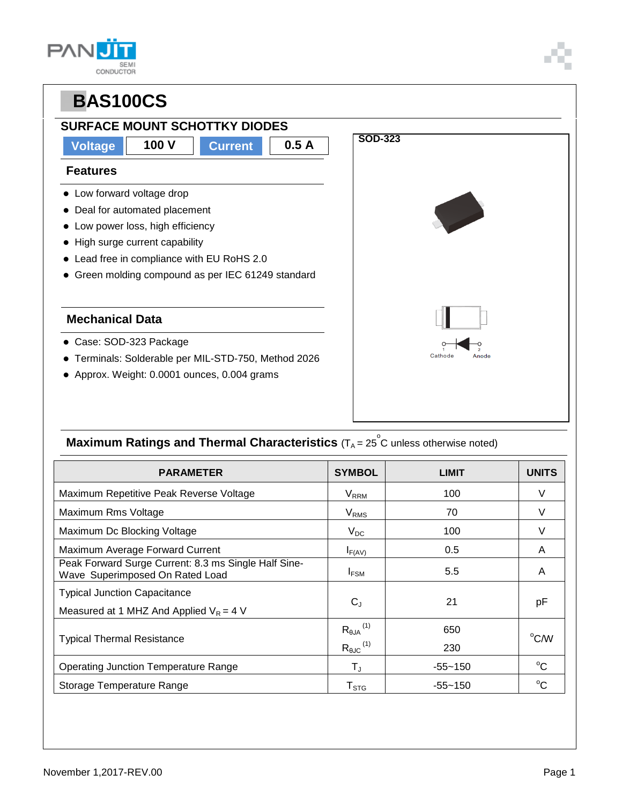| SEM       |
|-----------|
| CONDUCTOR |



#### **Maximum Ratings and Thermal Characteristics** (T<sub>A</sub> = 25<sup>°</sup>C unless otherwise noted)

| <b>PARAMETER</b>                                                                        | <b>SYMBOL</b>                                                          | <b>LIMIT</b> | <b>UNITS</b>   |
|-----------------------------------------------------------------------------------------|------------------------------------------------------------------------|--------------|----------------|
| Maximum Repetitive Peak Reverse Voltage                                                 | V <sub>RRM</sub>                                                       | 100          | V              |
| Maximum Rms Voltage                                                                     | $V_{RMS}$                                                              | 70           |                |
| Maximum Dc Blocking Voltage                                                             | $V_{DC}$                                                               | 100          | V              |
| Maximum Average Forward Current                                                         | $I_{F(AV)}$                                                            | 0.5          | A              |
| Peak Forward Surge Current: 8.3 ms Single Half Sine-<br>Wave Superimposed On Rated Load | I <sub>FSM</sub>                                                       | 5.5          | A              |
| <b>Typical Junction Capacitance</b><br>Measured at 1 MHZ And Applied $V_R = 4$ V        | $C_{J}$                                                                | 21           | рF             |
| <b>Typical Thermal Resistance</b>                                                       | $R_{\theta$ JA <sup>(1)</sup><br>$R_{\theta \text{JC}}$ <sup>(1)</sup> | 650<br>230   | $\rm ^{o}$ C/W |
| <b>Operating Junction Temperature Range</b>                                             | $\mathsf{T}_\mathrm{J}$                                                | $-55 - 150$  | $^{\circ}C$    |
| Storage Temperature Range                                                               | ${\sf T}_{\text{STG}}$                                                 | $-55 - 150$  | $^{\circ}C$    |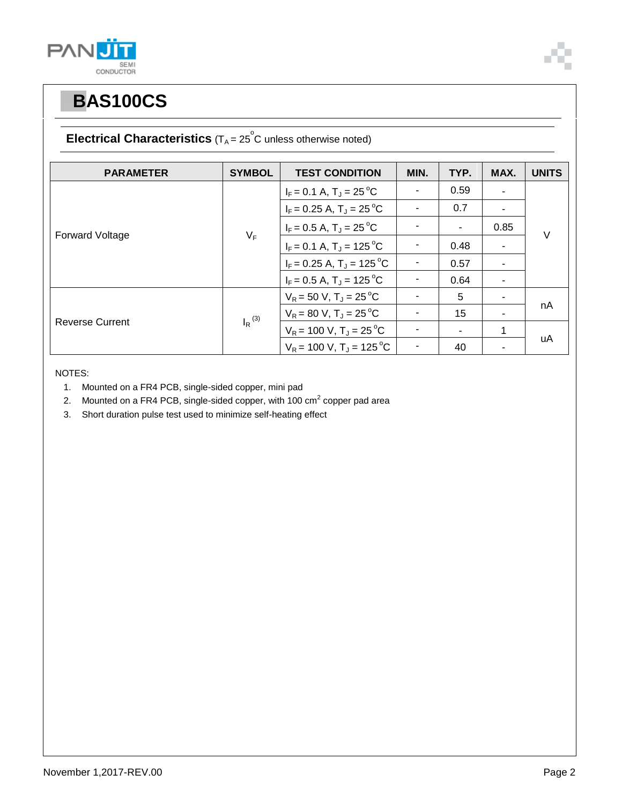



#### **Electrical Characteristics**  $(T_A = 25^\circ \text{C}$  unless otherwise noted)

| <b>PARAMETER</b>       | <b>SYMBOL</b> | <b>TEST CONDITION</b>                  | MIN. | TYP. | MAX. | <b>UNITS</b> |  |
|------------------------|---------------|----------------------------------------|------|------|------|--------------|--|
| <b>Forward Voltage</b> | $V_F$         | $I_F = 0.1 A$ , $T_J = 25^{\circ}C$    |      | 0.59 |      | $\vee$       |  |
|                        |               | $I_F = 0.25$ A, $T_J = 25$ °C          |      | 0.7  |      |              |  |
|                        |               | $I_F = 0.5 A$ , $T_J = 25 °C$          |      |      | 0.85 |              |  |
|                        |               | $I_F = 0.1 A$ , $T_J = 125 °C$         |      | 0.48 |      |              |  |
|                        |               | $I_F = 0.25$ A, $T_J = 125$ °C         |      | 0.57 | ٠    |              |  |
|                        |               | $I_F = 0.5 A$ , $T_J = 125 \degree C$  |      | 0.64 |      |              |  |
| <b>Reverse Current</b> | $I_R^{(3)}$   | $V_R$ = 50 V, T <sub>J</sub> = 25 °C   |      | 5    |      |              |  |
|                        |               | $V_R = 80 V$ , $T_J = 25 °C$           |      | 15   |      | nA           |  |
|                        |               | $V_R$ = 100 V, T <sub>J</sub> = 25 °C  |      |      | 1    |              |  |
|                        |               | $V_R$ = 100 V, T <sub>J</sub> = 125 °C |      | 40   |      | uA           |  |

NOTES:

- 1. Mounted on a FR4 PCB, single-sided copper, mini pad
- 2. Mounted on a FR4 PCB, single-sided copper, with 100 cm<sup>2</sup> copper pad area
- 3. Short duration pulse test used to minimize self-heating effect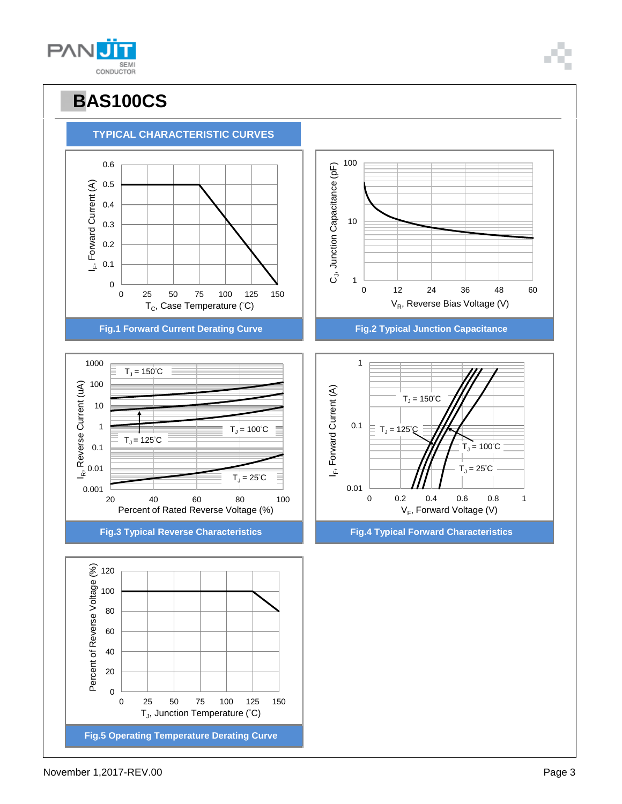

10

100

# **PBAS100CS**

**TYPICAL CHARACTERISTIC CURVES**

# CONDUCTOR

0.3 0.4

IF, Forward Current (A)

<sub>IF</sub>, Forward Current (A)

0.001 0.01

Percent of Reverse Voltage (%)

0.1

IR, Reverse Current (uA)

1

10

100

1000

0.5 0.6



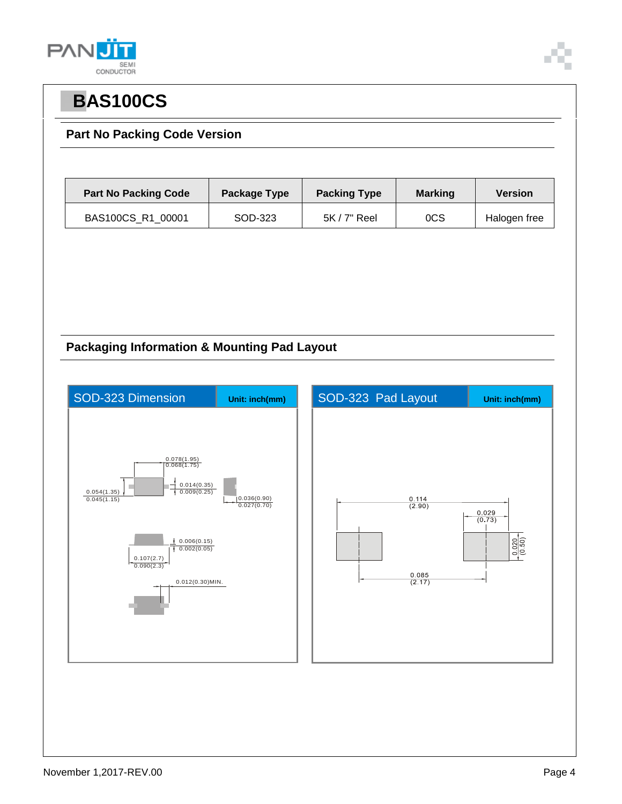



#### **Part No Packing Code Version**

| <b>Part No Packing Code</b> | Package Type | <b>Packing Type</b> | <b>Marking</b> | <b>Version</b> |
|-----------------------------|--------------|---------------------|----------------|----------------|
| BAS100CS R1 00001           | SOD-323      | $5K/7"$ Reel        | 0CS            | Halogen free   |

#### **Packaging Information & Mounting Pad Layout**